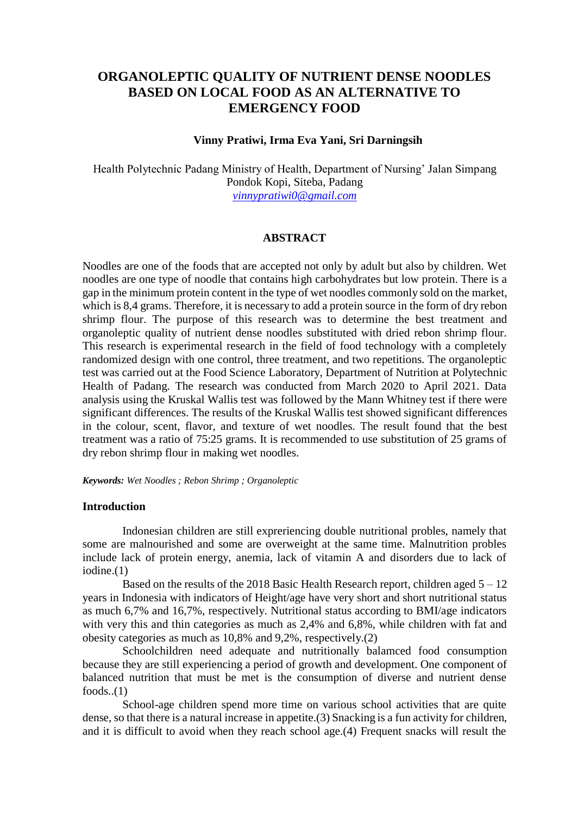# **ORGANOLEPTIC QUALITY OF NUTRIENT DENSE NOODLES BASED ON LOCAL FOOD AS AN ALTERNATIVE TO EMERGENCY FOOD**

#### **Vinny Pratiwi, Irma Eva Yani, Sri Darningsih**

Health Polytechnic Padang Ministry of Health, Department of Nursing' Jalan Simpang Pondok Kopi, Siteba, Padang *[vinnypratiwi0@gmail.com](mailto:vinnypratiwi0@gmail.com)*

## **ABSTRACT**

Noodles are one of the foods that are accepted not only by adult but also by children. Wet noodles are one type of noodle that contains high carbohydrates but low protein. There is a gap in the minimum protein content in the type of wet noodles commonly sold on the market, which is 8,4 grams. Therefore, it is necessary to add a protein source in the form of dry rebon shrimp flour. The purpose of this research was to determine the best treatment and organoleptic quality of nutrient dense noodles substituted with dried rebon shrimp flour. This research is experimental research in the field of food technology with a completely randomized design with one control, three treatment, and two repetitions. The organoleptic test was carried out at the Food Science Laboratory, Department of Nutrition at Polytechnic Health of Padang. The research was conducted from March 2020 to April 2021. Data analysis using the Kruskal Wallis test was followed by the Mann Whitney test if there were significant differences. The results of the Kruskal Wallis test showed significant differences in the colour, scent, flavor, and texture of wet noodles. The result found that the best treatment was a ratio of 75:25 grams. It is recommended to use substitution of 25 grams of dry rebon shrimp flour in making wet noodles.

*Keywords: Wet Noodles ; Rebon Shrimp ; Organoleptic*

#### **Introduction**

Indonesian children are still expreriencing double nutritional probles, namely that some are malnourished and some are overweight at the same time. Malnutrition probles include lack of protein energy, anemia, lack of vitamin A and disorders due to lack of iodine.(1)

Based on the results of the 2018 Basic Health Research report, children aged  $5 - 12$ years in Indonesia with indicators of Height/age have very short and short nutritional status as much 6,7% and 16,7%, respectively. Nutritional status according to BMI/age indicators with very this and thin categories as much as 2,4% and 6,8%, while children with fat and obesity categories as much as 10,8% and 9,2%, respectively.(2)

Schoolchildren need adequate and nutritionally balamced food consumption because they are still experiencing a period of growth and development. One component of balanced nutrition that must be met is the consumption of diverse and nutrient dense  $foods..(1)$ 

School-age children spend more time on various school activities that are quite dense, so that there is a natural increase in appetite.(3) Snacking is a fun activity for children, and it is difficult to avoid when they reach school age.(4) Frequent snacks will result the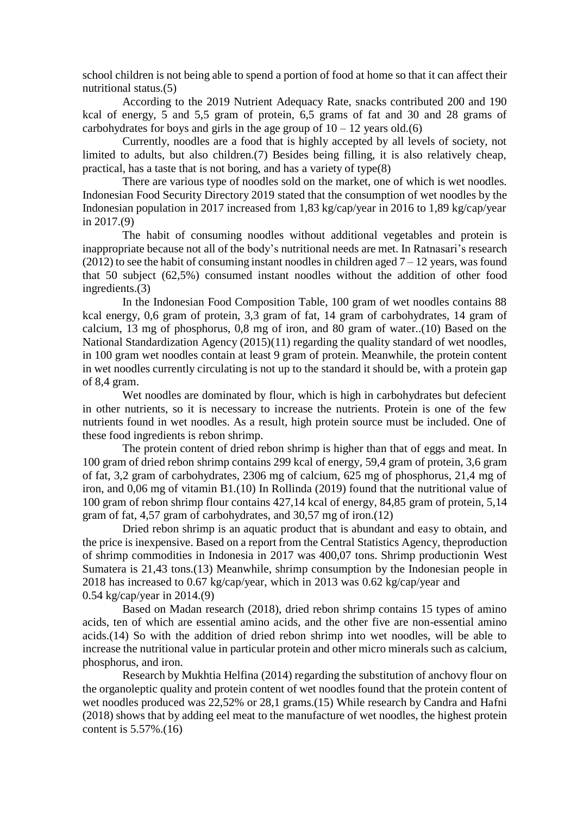school children is not being able to spend a portion of food at home so that it can affect their nutritional status.(5)

According to the 2019 Nutrient Adequacy Rate, snacks contributed 200 and 190 kcal of energy, 5 and 5,5 gram of protein, 6,5 grams of fat and 30 and 28 grams of carbohydrates for boys and girls in the age group of  $10 - 12$  years old.(6)

Currently, noodles are a food that is highly accepted by all levels of society, not limited to adults, but also children.(7) Besides being filling, it is also relatively cheap, practical, has a taste that is not boring, and has a variety of type(8)

There are various type of noodles sold on the market, one of which is wet noodles. Indonesian Food Security Directory 2019 stated that the consumption of wet noodles by the Indonesian population in 2017 increased from 1,83 kg/cap/year in 2016 to 1,89 kg/cap/year in 2017.(9)

The habit of consuming noodles without additional vegetables and protein is inappropriate because not all of the body's nutritional needs are met. In Ratnasari's research (2012) to see the habit of consuming instant noodles in children aged  $7 - 12$  years, was found that 50 subject (62,5%) consumed instant noodles without the addition of other food ingredients.(3)

In the Indonesian Food Composition Table, 100 gram of wet noodles contains 88 kcal energy, 0,6 gram of protein, 3,3 gram of fat, 14 gram of carbohydrates, 14 gram of calcium, 13 mg of phosphorus, 0,8 mg of iron, and 80 gram of water..(10) Based on the National Standardization Agency (2015)(11) regarding the quality standard of wet noodles, in 100 gram wet noodles contain at least 9 gram of protein. Meanwhile, the protein content in wet noodles currently circulating is not up to the standard it should be, with a protein gap of 8,4 gram.

Wet noodles are dominated by flour, which is high in carbohydrates but defecient in other nutrients, so it is necessary to increase the nutrients. Protein is one of the few nutrients found in wet noodles. As a result, high protein source must be included. One of these food ingredients is rebon shrimp.

The protein content of dried rebon shrimp is higher than that of eggs and meat. In 100 gram of dried rebon shrimp contains 299 kcal of energy, 59,4 gram of protein, 3,6 gram of fat, 3,2 gram of carbohydrates, 2306 mg of calcium, 625 mg of phosphorus, 21,4 mg of iron, and 0,06 mg of vitamin B1.(10) In Rollinda (2019) found that the nutritional value of 100 gram of rebon shrimp flour contains 427,14 kcal of energy, 84,85 gram of protein, 5,14 gram of fat, 4,57 gram of carbohydrates, and 30,57 mg of iron.(12)

Dried rebon shrimp is an aquatic product that is abundant and easy to obtain, and the price is inexpensive. Based on a report from the Central Statistics Agency, theproduction of shrimp commodities in Indonesia in 2017 was 400,07 tons. Shrimp productionin West Sumatera is 21,43 tons.(13) Meanwhile, shrimp consumption by the Indonesian people in 2018 has increased to 0.67 kg/cap/year, which in 2013 was 0.62 kg/cap/year and 0.54 kg/cap/year in 2014.(9)

Based on Madan research (2018), dried rebon shrimp contains 15 types of amino acids, ten of which are essential amino acids, and the other five are non-essential amino acids.(14) So with the addition of dried rebon shrimp into wet noodles, will be able to increase the nutritional value in particular protein and other micro minerals such as calcium, phosphorus, and iron.

Research by Mukhtia Helfina (2014) regarding the substitution of anchovy flour on the organoleptic quality and protein content of wet noodles found that the protein content of wet noodles produced was 22,52% or 28,1 grams.(15) While research by Candra and Hafni (2018) shows that by adding eel meat to the manufacture of wet noodles, the highest protein content is 5.57%.(16)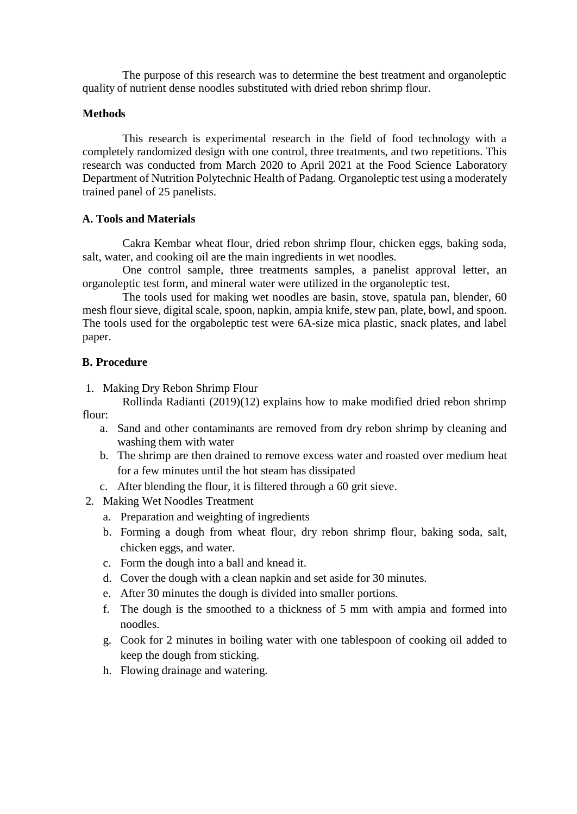The purpose of this research was to determine the best treatment and organoleptic quality of nutrient dense noodles substituted with dried rebon shrimp flour.

#### **Methods**

This research is experimental research in the field of food technology with a completely randomized design with one control, three treatments, and two repetitions. This research was conducted from March 2020 to April 2021 at the Food Science Laboratory Department of Nutrition Polytechnic Health of Padang. Organoleptic test using a moderately trained panel of 25 panelists.

## **A. Tools and Materials**

Cakra Kembar wheat flour, dried rebon shrimp flour, chicken eggs, baking soda, salt, water, and cooking oil are the main ingredients in wet noodles.

One control sample, three treatments samples, a panelist approval letter, an organoleptic test form, and mineral water were utilized in the organoleptic test.

The tools used for making wet noodles are basin, stove, spatula pan, blender, 60 mesh flour sieve, digital scale, spoon, napkin, ampia knife, stew pan, plate, bowl, and spoon. The tools used for the orgaboleptic test were 6A-size mica plastic, snack plates, and label paper.

## **B. Procedure**

1. Making Dry Rebon Shrimp Flour

Rollinda Radianti (2019)(12) explains how to make modified dried rebon shrimp flour:

- a. Sand and other contaminants are removed from dry rebon shrimp by cleaning and washing them with water
- b. The shrimp are then drained to remove excess water and roasted over medium heat for a few minutes until the hot steam has dissipated
- c. After blending the flour, it is filtered through a 60 grit sieve.
- 2. Making Wet Noodles Treatment
	- a. Preparation and weighting of ingredients
	- b. Forming a dough from wheat flour, dry rebon shrimp flour, baking soda, salt, chicken eggs, and water.
	- c. Form the dough into a ball and knead it.
	- d. Cover the dough with a clean napkin and set aside for 30 minutes.
	- e. After 30 minutes the dough is divided into smaller portions.
	- f. The dough is the smoothed to a thickness of 5 mm with ampia and formed into noodles.
	- g. Cook for 2 minutes in boiling water with one tablespoon of cooking oil added to keep the dough from sticking.
	- h. Flowing drainage and watering.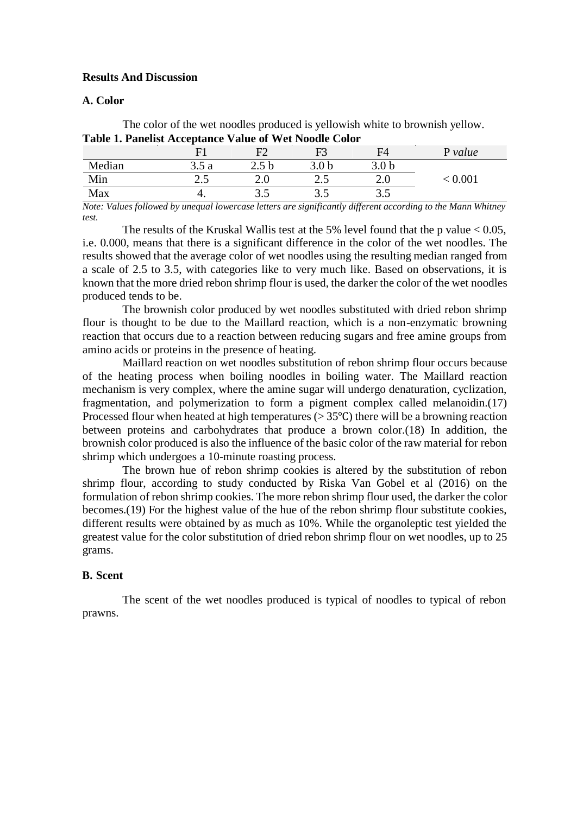#### **Results And Discussion**

#### **A. Color**

The color of the wet noodles produced is yellowish white to brownish yellow. **Table 1. Panelist Acceptance Value of Wet Noodle Color**

|        |       | F٦   | F3               | F4               | P value |
|--------|-------|------|------------------|------------------|---------|
| Median | 3.5 a |      | 3.0 <sub>b</sub> | 3.0 <sub>b</sub> |         |
| Min    | ر. ت  | 2.U  | ر. ۷             | ∠.∪              | 0.001   |
| Max    | . .   | ن. ب | ن.ر              | ر. ر             |         |

*Note: Values followed by unequal lowercase letters are significantly different according to the Mann Whitney test.*

The results of the Kruskal Wallis test at the 5% level found that the p value  $< 0.05$ . i.e. 0.000, means that there is a significant difference in the color of the wet noodles. The results showed that the average color of wet noodles using the resulting median ranged from a scale of 2.5 to 3.5, with categories like to very much like. Based on observations, it is known that the more dried rebon shrimp flour is used, the darker the color of the wet noodles produced tends to be.

The brownish color produced by wet noodles substituted with dried rebon shrimp flour is thought to be due to the Maillard reaction, which is a non-enzymatic browning reaction that occurs due to a reaction between reducing sugars and free amine groups from amino acids or proteins in the presence of heating.

Maillard reaction on wet noodles substitution of rebon shrimp flour occurs because of the heating process when boiling noodles in boiling water. The Maillard reaction mechanism is very complex, where the amine sugar will undergo denaturation, cyclization, fragmentation, and polymerization to form a pigment complex called melanoidin.(17) Processed flour when heated at high temperatures ( $> 35^{\circ}$ C) there will be a browning reaction between proteins and carbohydrates that produce a brown color.(18) In addition, the brownish color produced is also the influence of the basic color of the raw material for rebon shrimp which undergoes a 10-minute roasting process.

The brown hue of rebon shrimp cookies is altered by the substitution of rebon shrimp flour, according to study conducted by Riska Van Gobel et al (2016) on the formulation of rebon shrimp cookies. The more rebon shrimp flour used, the darker the color becomes.(19) For the highest value of the hue of the rebon shrimp flour substitute cookies, different results were obtained by as much as 10%. While the organoleptic test yielded the greatest value for the color substitution of dried rebon shrimp flour on wet noodles, up to 25 grams.

## **B. Scent**

The scent of the wet noodles produced is typical of noodles to typical of rebon prawns.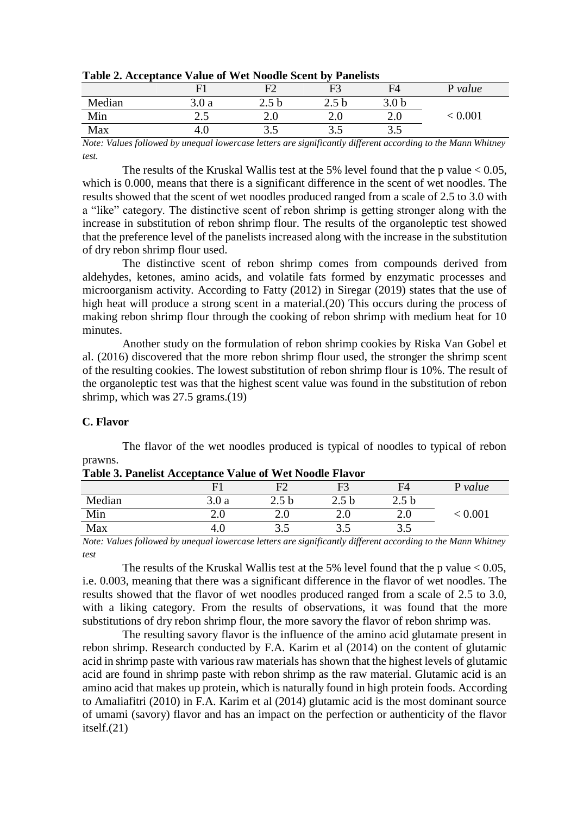|        | $\mathbf{F}^1$ |      | F3    | FA               | P value |
|--------|----------------|------|-------|------------------|---------|
| Median | 3.0a           |      | 2.J V | 3.0 <sub>b</sub> |         |
| Min    | ر              | ∠.∪  | ∠.∪   | 2.U              | 0.001   |
| Max    | 4.U            | ن. ب | ن ر   | ن. ب             |         |

## **Table 2. Acceptance Value of Wet Noodle Scent by Panelists**

*Note: Values followed by unequal lowercase letters are significantly different according to the Mann Whitney test.*

The results of the Kruskal Wallis test at the 5% level found that the p value  $< 0.05$ , which is 0.000, means that there is a significant difference in the scent of wet noodles. The results showed that the scent of wet noodles produced ranged from a scale of 2.5 to 3.0 with a "like" category. The distinctive scent of rebon shrimp is getting stronger along with the increase in substitution of rebon shrimp flour. The results of the organoleptic test showed that the preference level of the panelists increased along with the increase in the substitution of dry rebon shrimp flour used.

The distinctive scent of rebon shrimp comes from compounds derived from aldehydes, ketones, amino acids, and volatile fats formed by enzymatic processes and microorganism activity. According to Fatty (2012) in Siregar (2019) states that the use of high heat will produce a strong scent in a material.(20) This occurs during the process of making rebon shrimp flour through the cooking of rebon shrimp with medium heat for 10 minutes.

Another study on the formulation of rebon shrimp cookies by Riska Van Gobel et al. (2016) discovered that the more rebon shrimp flour used, the stronger the shrimp scent of the resulting cookies. The lowest substitution of rebon shrimp flour is 10%. The result of the organoleptic test was that the highest scent value was found in the substitution of rebon shrimp, which was 27.5 grams.(19)

## **C. Flavor**

The flavor of the wet noodles produced is typical of noodles to typical of rebon prawns.

|        | $\mathbf{E}^1$ | ┳<br>н. | F3              | F4               | P value |
|--------|----------------|---------|-----------------|------------------|---------|
| Median | 3.0a           | 2.5U    | 2.5 b           | 2.5 <sub>b</sub> |         |
| Min    | 2.U            |         | $\mathcal{L}$ . |                  | 0.00    |
| Max    | 4.U            | ن ر     | ن.ر             | ن.ر              |         |

*Note: Values followed by unequal lowercase letters are significantly different according to the Mann Whitney test*

The results of the Kruskal Wallis test at the 5% level found that the p value  $< 0.05$ , i.e. 0.003, meaning that there was a significant difference in the flavor of wet noodles. The results showed that the flavor of wet noodles produced ranged from a scale of 2.5 to 3.0, with a liking category. From the results of observations, it was found that the more substitutions of dry rebon shrimp flour, the more savory the flavor of rebon shrimp was.

The resulting savory flavor is the influence of the amino acid glutamate present in rebon shrimp. Research conducted by F.A. Karim et al (2014) on the content of glutamic acid in shrimp paste with various raw materials has shown that the highest levels of glutamic acid are found in shrimp paste with rebon shrimp as the raw material. Glutamic acid is an amino acid that makes up protein, which is naturally found in high protein foods. According to Amaliafitri (2010) in F.A. Karim et al (2014) glutamic acid is the most dominant source of umami (savory) flavor and has an impact on the perfection or authenticity of the flavor itself.(21)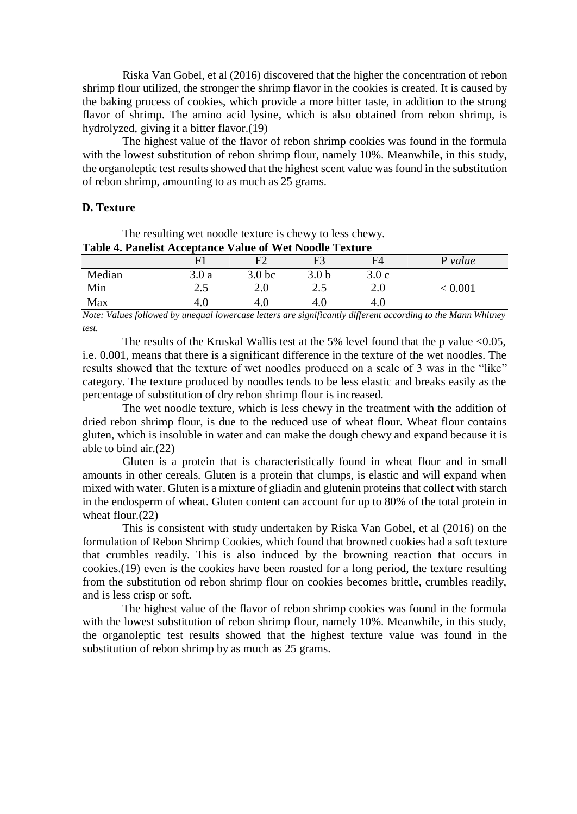Riska Van Gobel, et al (2016) discovered that the higher the concentration of rebon shrimp flour utilized, the stronger the shrimp flavor in the cookies is created. It is caused by the baking process of cookies, which provide a more bitter taste, in addition to the strong flavor of shrimp. The amino acid lysine, which is also obtained from rebon shrimp, is hydrolyzed, giving it a bitter flavor.(19)

The highest value of the flavor of rebon shrimp cookies was found in the formula with the lowest substitution of rebon shrimp flour, namely 10%. Meanwhile, in this study, the organoleptic test results showed that the highest scent value was found in the substitution of rebon shrimp, amounting to as much as 25 grams.

## **D. Texture**

| <b>Table 4. Panelist Acceptance Value of Wet Noodle Texture</b> |              |                   |       |       |         |  |
|-----------------------------------------------------------------|--------------|-------------------|-------|-------|---------|--|
|                                                                 | $\mathbf{F}$ |                   |       | F4    | P value |  |
| Median                                                          | 3.0 a        | 3.0 <sub>bc</sub> | 3.0 h | 3.0 c |         |  |
| Min                                                             |              |                   |       |       | < 0.001 |  |
| Max                                                             |              |                   |       | 4.U   |         |  |

The resulting wet noodle texture is chewy to less chewy.

*Note: Values followed by unequal lowercase letters are significantly different according to the Mann Whitney test.*

The results of the Kruskal Wallis test at the 5% level found that the p value  $<0.05$ , i.e. 0.001, means that there is a significant difference in the texture of the wet noodles. The results showed that the texture of wet noodles produced on a scale of 3 was in the "like" category. The texture produced by noodles tends to be less elastic and breaks easily as the percentage of substitution of dry rebon shrimp flour is increased.

The wet noodle texture, which is less chewy in the treatment with the addition of dried rebon shrimp flour, is due to the reduced use of wheat flour. Wheat flour contains gluten, which is insoluble in water and can make the dough chewy and expand because it is able to bind air.(22)

Gluten is a protein that is characteristically found in wheat flour and in small amounts in other cereals. Gluten is a protein that clumps, is elastic and will expand when mixed with water. Gluten is a mixture of gliadin and glutenin proteins that collect with starch in the endosperm of wheat. Gluten content can account for up to 80% of the total protein in wheat flour.(22)

This is consistent with study undertaken by Riska Van Gobel, et al (2016) on the formulation of Rebon Shrimp Cookies, which found that browned cookies had a soft texture that crumbles readily. This is also induced by the browning reaction that occurs in cookies.(19) even is the cookies have been roasted for a long period, the texture resulting from the substitution od rebon shrimp flour on cookies becomes brittle, crumbles readily, and is less crisp or soft.

The highest value of the flavor of rebon shrimp cookies was found in the formula with the lowest substitution of rebon shrimp flour, namely 10%. Meanwhile, in this study, the organoleptic test results showed that the highest texture value was found in the substitution of rebon shrimp by as much as 25 grams.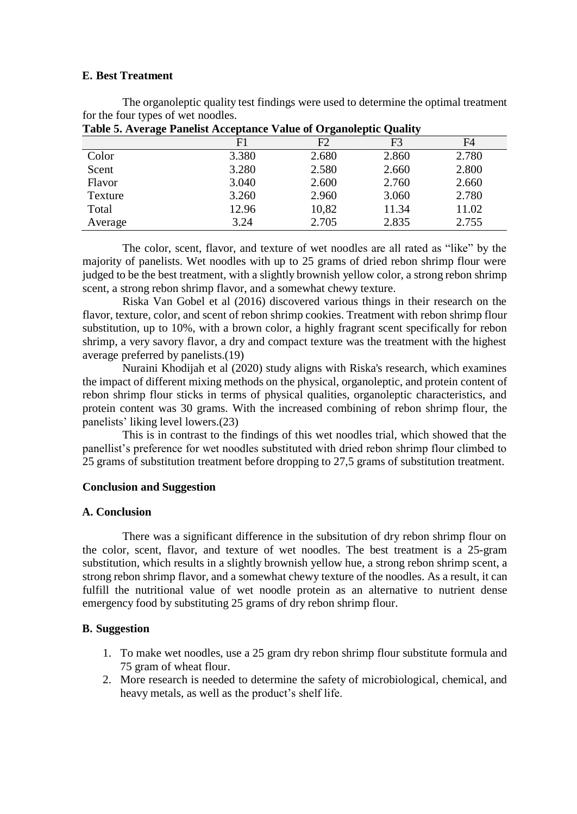#### **E. Best Treatment**

The organoleptic quality test findings were used to determine the optimal treatment for the four types of wet noodles.

| Table of Inverge I allellor Heceptance value of Organoleptic Quality |       |       |       |       |  |  |
|----------------------------------------------------------------------|-------|-------|-------|-------|--|--|
|                                                                      | F1    | F2    | F3    | F4    |  |  |
| Color                                                                | 3.380 | 2.680 | 2.860 | 2.780 |  |  |
| Scent                                                                | 3.280 | 2.580 | 2.660 | 2.800 |  |  |
| Flavor                                                               | 3.040 | 2.600 | 2.760 | 2.660 |  |  |
| Texture                                                              | 3.260 | 2.960 | 3.060 | 2.780 |  |  |
| Total                                                                | 12.96 | 10,82 | 11.34 | 11.02 |  |  |
| Average                                                              | 3.24  | 2.705 | 2.835 | 2.755 |  |  |

**Table 5. Average Panelist Acceptance Value of Organoleptic Quality**

The color, scent, flavor, and texture of wet noodles are all rated as "like" by the majority of panelists. Wet noodles with up to 25 grams of dried rebon shrimp flour were judged to be the best treatment, with a slightly brownish yellow color, a strong rebon shrimp scent, a strong rebon shrimp flavor, and a somewhat chewy texture.

Riska Van Gobel et al (2016) discovered various things in their research on the flavor, texture, color, and scent of rebon shrimp cookies. Treatment with rebon shrimp flour substitution, up to 10%, with a brown color, a highly fragrant scent specifically for rebon shrimp, a very savory flavor, a dry and compact texture was the treatment with the highest average preferred by panelists.(19)

Nuraini Khodijah et al (2020) study aligns with Riska's research, which examines the impact of different mixing methods on the physical, organoleptic, and protein content of rebon shrimp flour sticks in terms of physical qualities, organoleptic characteristics, and protein content was 30 grams. With the increased combining of rebon shrimp flour, the panelists' liking level lowers.(23)

This is in contrast to the findings of this wet noodles trial, which showed that the panellist's preference for wet noodles substituted with dried rebon shrimp flour climbed to 25 grams of substitution treatment before dropping to 27,5 grams of substitution treatment.

## **Conclusion and Suggestion**

## **A. Conclusion**

There was a significant difference in the subsitution of dry rebon shrimp flour on the color, scent, flavor, and texture of wet noodles. The best treatment is a 25-gram substitution, which results in a slightly brownish yellow hue, a strong rebon shrimp scent, a strong rebon shrimp flavor, and a somewhat chewy texture of the noodles. As a result, it can fulfill the nutritional value of wet noodle protein as an alternative to nutrient dense emergency food by substituting 25 grams of dry rebon shrimp flour.

## **B. Suggestion**

- 1. To make wet noodles, use a 25 gram dry rebon shrimp flour substitute formula and 75 gram of wheat flour.
- 2. More research is needed to determine the safety of microbiological, chemical, and heavy metals, as well as the product's shelf life.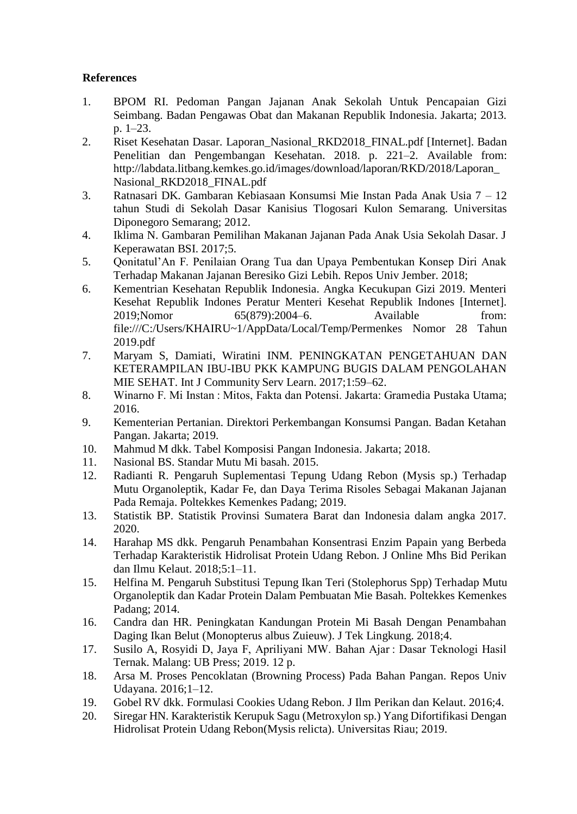## **References**

- 1. BPOM RI. Pedoman Pangan Jajanan Anak Sekolah Untuk Pencapaian Gizi Seimbang. Badan Pengawas Obat dan Makanan Republik Indonesia. Jakarta; 2013. p. 1–23.
- 2. Riset Kesehatan Dasar. Laporan\_Nasional\_RKD2018\_FINAL.pdf [Internet]. Badan Penelitian dan Pengembangan Kesehatan. 2018. p. 221–2. Available from: [http://labdata.litbang.kemkes.go.id/images/download/laporan/RKD/2018/Laporan\\_](http://labdata.litbang.kemkes.go.id/images/download/laporan/RKD/2018/Laporan_) Nasional RKD2018 FINAL.pdf
- 3. Ratnasari DK. Gambaran Kebiasaan Konsumsi Mie Instan Pada Anak Usia 7 12 tahun Studi di Sekolah Dasar Kanisius Tlogosari Kulon Semarang. Universitas Diponegoro Semarang; 2012.
- 4. Iklima N. Gambaran Pemilihan Makanan Jajanan Pada Anak Usia Sekolah Dasar. J Keperawatan BSI. 2017;5.
- 5. Qonitatul'An F. Penilaian Orang Tua dan Upaya Pembentukan Konsep Diri Anak Terhadap Makanan Jajanan Beresiko Gizi Lebih. Repos Univ Jember. 2018;
- 6. Kementrian Kesehatan Republik Indonesia. Angka Kecukupan Gizi 2019. Menteri Kesehat Republik Indones Peratur Menteri Kesehat Republik Indones [Internet]. 2019;Nomor 65(879):2004–6. Available from: file:///C:/Users/KHAIRU~1/AppData/Local/Temp/Permenkes Nomor 28 Tahun 2019.pdf
- 7. Maryam S, Damiati, Wiratini INM. PENINGKATAN PENGETAHUAN DAN KETERAMPILAN IBU-IBU PKK KAMPUNG BUGIS DALAM PENGOLAHAN MIE SEHAT. Int J Community Serv Learn. 2017;1:59–62.
- 8. Winarno F. Mi Instan : Mitos, Fakta dan Potensi. Jakarta: Gramedia Pustaka Utama; 2016.
- 9. Kementerian Pertanian. Direktori Perkembangan Konsumsi Pangan. Badan Ketahan Pangan. Jakarta; 2019.
- 10. Mahmud M dkk. Tabel Komposisi Pangan Indonesia. Jakarta; 2018.
- 11. Nasional BS. Standar Mutu Mi basah. 2015.
- 12. Radianti R. Pengaruh Suplementasi Tepung Udang Rebon (Mysis sp.) Terhadap Mutu Organoleptik, Kadar Fe, dan Daya Terima Risoles Sebagai Makanan Jajanan Pada Remaja. Poltekkes Kemenkes Padang; 2019.
- 13. Statistik BP. Statistik Provinsi Sumatera Barat dan Indonesia dalam angka 2017. 2020.
- 14. Harahap MS dkk. Pengaruh Penambahan Konsentrasi Enzim Papain yang Berbeda Terhadap Karakteristik Hidrolisat Protein Udang Rebon. J Online Mhs Bid Perikan dan Ilmu Kelaut. 2018;5:1–11.
- 15. Helfina M. Pengaruh Substitusi Tepung Ikan Teri (Stolephorus Spp) Terhadap Mutu Organoleptik dan Kadar Protein Dalam Pembuatan Mie Basah. Poltekkes Kemenkes Padang; 2014.
- 16. Candra dan HR. Peningkatan Kandungan Protein Mi Basah Dengan Penambahan Daging Ikan Belut (Monopterus albus Zuieuw). J Tek Lingkung. 2018;4.
- 17. Susilo A, Rosyidi D, Jaya F, Apriliyani MW. Bahan Ajar : Dasar Teknologi Hasil Ternak. Malang: UB Press; 2019. 12 p.
- 18. Arsa M. Proses Pencoklatan (Browning Process) Pada Bahan Pangan. Repos Univ Udayana. 2016;1–12.
- 19. Gobel RV dkk. Formulasi Cookies Udang Rebon. J Ilm Perikan dan Kelaut. 2016;4.
- 20. Siregar HN. Karakteristik Kerupuk Sagu (Metroxylon sp.) Yang Difortifikasi Dengan Hidrolisat Protein Udang Rebon(Mysis relicta). Universitas Riau; 2019.